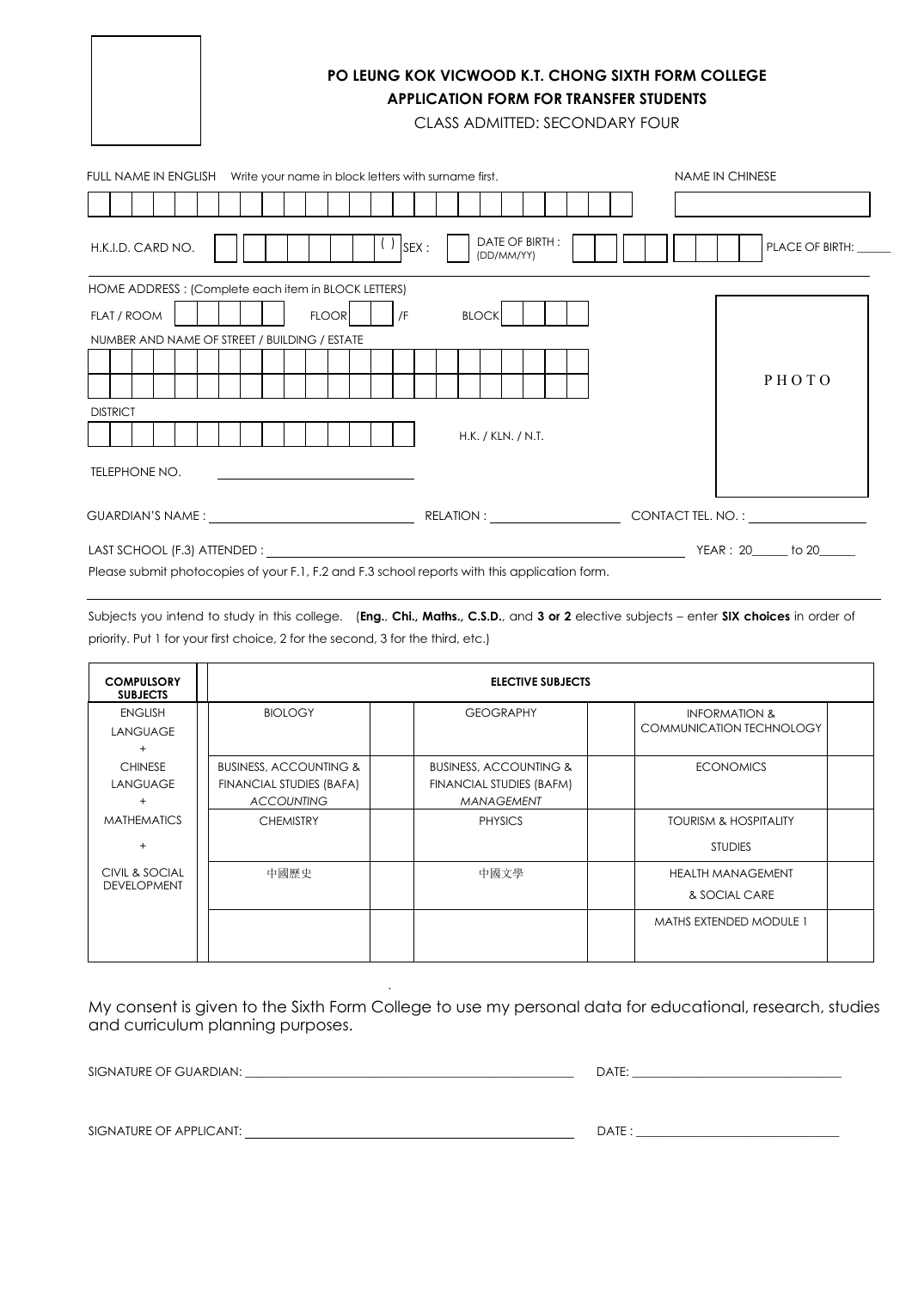

## **PO LEUNG KOK VICWOOD K.T. CHONG SIXTH FORM COLLEGE APPLICATION FORM FOR TRANSFER STUDENTS**

CLASS ADMITTED: SECONDARY FOUR

| FULL NAME IN ENGLISH Write your name in block letters with surname first.                     |                              | <b>NAME IN CHINESE</b> |
|-----------------------------------------------------------------------------------------------|------------------------------|------------------------|
|                                                                                               |                              |                        |
| $\left( \begin{array}{c} \end{array} \right)$ SEX :<br>H.K.I.D. CARD NO.                      | DATE OF BIRTH:<br>(DD/MM/YY) | <b>PLACE OF BIRTH:</b> |
| HOME ADDRESS: (Complete each item in BLOCK LETTERS)                                           |                              |                        |
| <b>FLOOR</b><br>$ $ /F<br>FLAT / ROOM                                                         | <b>BLOCK</b>                 |                        |
| NUMBER AND NAME OF STREET / BUILDING / ESTATE                                                 |                              |                        |
|                                                                                               |                              | PHOTO                  |
| <b>DISTRICT</b>                                                                               |                              |                        |
|                                                                                               | H.K. / KLN. / N.T.           |                        |
| TELEPHONE NO.<br><u> 1989 - Andrea Andrew Maria (h. 1989).</u>                                |                              |                        |
|                                                                                               |                              |                        |
|                                                                                               |                              | YEAR: 20 to 20         |
| Please submit photocopies of your F.1, F.2 and F.3 school reports with this application form. |                              |                        |

Subjects you intend to study in this college. (**Eng.**, **Chi., Maths., C.S.D.**, and **3 or 2** elective subjects – enter **SIX choices** in order of priority. Put 1 for your first choice, 2 for the second, 3 for the third, etc.)

| <b>COMPULSORY</b><br><b>SUBJECTS</b>   | <b>ELECTIVE SUBJECTS</b>                                                           |                                                                                    |                                                             |  |
|----------------------------------------|------------------------------------------------------------------------------------|------------------------------------------------------------------------------------|-------------------------------------------------------------|--|
| <b>ENGLISH</b><br>LANGUAGE<br>$^{+}$   | <b>BIOLOGY</b>                                                                     | <b>GEOGRAPHY</b>                                                                   | <b>INFORMATION &amp;</b><br><b>COMMUNICATION TECHNOLOGY</b> |  |
| <b>CHINESE</b><br><b>LANGUAGE</b><br>÷ | <b>BUSINESS, ACCOUNTING &amp;</b><br>FINANCIAL STUDIES (BAFA)<br><b>ACCOUNTING</b> | <b>BUSINESS, ACCOUNTING &amp;</b><br>FINANCIAL STUDIES (BAFM)<br><b>MANAGEMENT</b> | <b>ECONOMICS</b>                                            |  |
| <b>MATHEMATICS</b>                     | <b>CHEMISTRY</b>                                                                   | <b>PHYSICS</b>                                                                     | <b>TOURISM &amp; HOSPITALITY</b><br><b>STUDIES</b>          |  |
| CIVIL & SOCIAL<br><b>DEVELOPMENT</b>   | 中國歷史                                                                               | 中國文學                                                                               | <b>HEALTH MANAGEMENT</b><br>& SOCIAL CARE                   |  |
|                                        |                                                                                    |                                                                                    | <b>MATHS EXTENDED MODULE 1</b>                              |  |

My consent is given to the Sixth Form College to use my personal data for educational, research, studies and curriculum planning purposes.

.

SIGNATURE OF GUARDIAN: \_\_\_\_\_\_\_\_\_\_\_\_\_\_\_\_\_\_\_\_\_\_\_\_\_\_\_\_\_\_\_\_\_\_\_\_\_\_\_\_\_\_\_\_\_\_\_\_\_\_\_\_\_\_\_ DATE: \_\_\_\_\_\_\_\_\_\_\_\_\_\_\_\_\_\_\_\_\_\_\_\_\_\_\_\_\_\_\_\_\_\_\_

| . . <del>.</del> .<br>---- |  |  |  |
|----------------------------|--|--|--|
|                            |  |  |  |

SIGNATURE OF APPLICANT: DATE : \_\_\_\_\_\_\_\_\_\_\_\_\_\_\_\_\_\_\_\_\_\_\_\_\_\_\_\_\_\_\_\_\_\_

| <i>- → ·</i> · · · |  |  |
|--------------------|--|--|